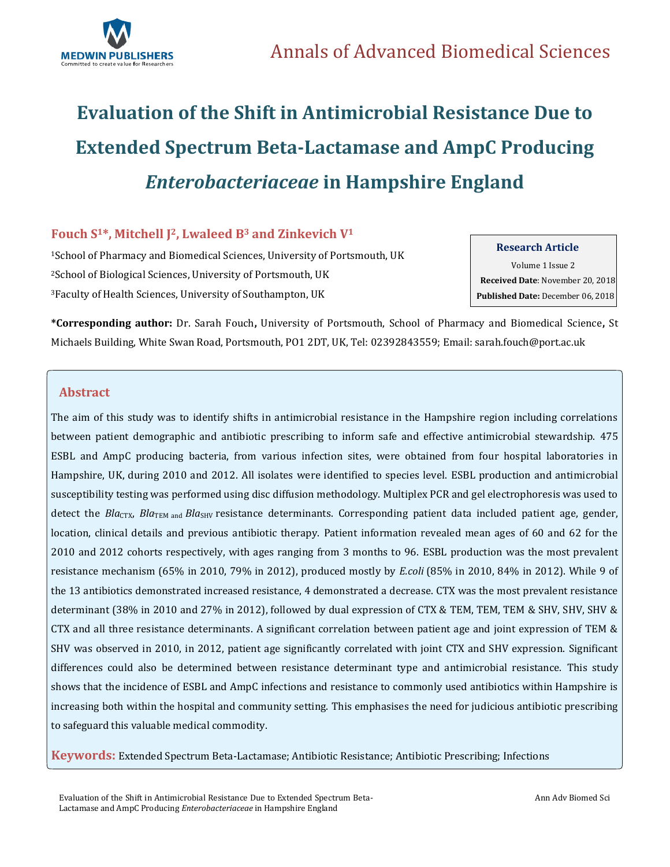

# **Evaluation of the Shift in Antimicrobial Resistance Due to Extended Spectrum Beta-Lactamase and AmpC Producing**  *Enterobacteriaceae* **in Hampshire England**

## **Fouch S1\*, Mitchell J <sup>2</sup>, Lwaleed B<sup>3</sup> and Zinkevich V<sup>1</sup>**

<sup>1</sup>School of Pharmacy and Biomedical Sciences, University of Portsmouth, UK <sup>2</sup>School of Biological Sciences, University of Portsmouth, UK <sup>3</sup>Faculty of Health Sciences, University of Southampton, UK

**Research Article**

Volume 1 Issue 2  **Received Date**: November 20, 2018  **Published Date:** December 06, 2018

**\*Corresponding author:** Dr. Sarah Fouch**,** University of Portsmouth, School of Pharmacy and Biomedical Science**,** St Michaels Building, White Swan Road, Portsmouth, PO1 2DT, UK, Tel: 02392843559; Email[: sarah.fouch@port.ac.uk](mailto:sarah.fouch@port.ac.uk)

### **Abstract**

The aim of this study was to identify shifts in antimicrobial resistance in the Hampshire region including correlations between patient demographic and antibiotic prescribing to inform safe and effective antimicrobial stewardship. 475 ESBL and AmpC producing bacteria, from various infection sites, were obtained from four hospital laboratories in Hampshire, UK, during 2010 and 2012. All isolates were identified to species level. ESBL production and antimicrobial susceptibility testing was performed using disc diffusion methodology. Multiplex PCR and gel electrophoresis was used to detect the *Bla<sub>CTX</sub>*, *Bla*<sub>TEM and</sub> *Bla*<sub>SHV</sub> resistance determinants. Corresponding patient data included patient age, gender, location, clinical details and previous antibiotic therapy. Patient information revealed mean ages of 60 and 62 for the 2010 and 2012 cohorts respectively, with ages ranging from 3 months to 96. ESBL production was the most prevalent resistance mechanism (65% in 2010, 79% in 2012), produced mostly by *E.coli* (85% in 2010, 84% in 2012). While 9 of the 13 antibiotics demonstrated increased resistance, 4 demonstrated a decrease. CTX was the most prevalent resistance determinant (38% in 2010 and 27% in 2012), followed by dual expression of CTX & TEM, TEM, TEM & SHV, SHV, SHV & CTX and all three resistance determinants. A significant correlation between patient age and joint expression of TEM & SHV was observed in 2010, in 2012, patient age significantly correlated with joint CTX and SHV expression. Significant differences could also be determined between resistance determinant type and antimicrobial resistance. This study shows that the incidence of ESBL and AmpC infections and resistance to commonly used antibiotics within Hampshire is increasing both within the hospital and community setting. This emphasises the need for judicious antibiotic prescribing to safeguard this valuable medical commodity.

**Keywords:** Extended Spectrum Beta-Lactamase; Antibiotic Resistance; Antibiotic Prescribing; Infections

Evaluation of the Shift in Antimicrobial Resistance Due to Extended Spectrum Beta-Lactamase and AmpC Producing *Enterobacteriaceae* in Hampshire England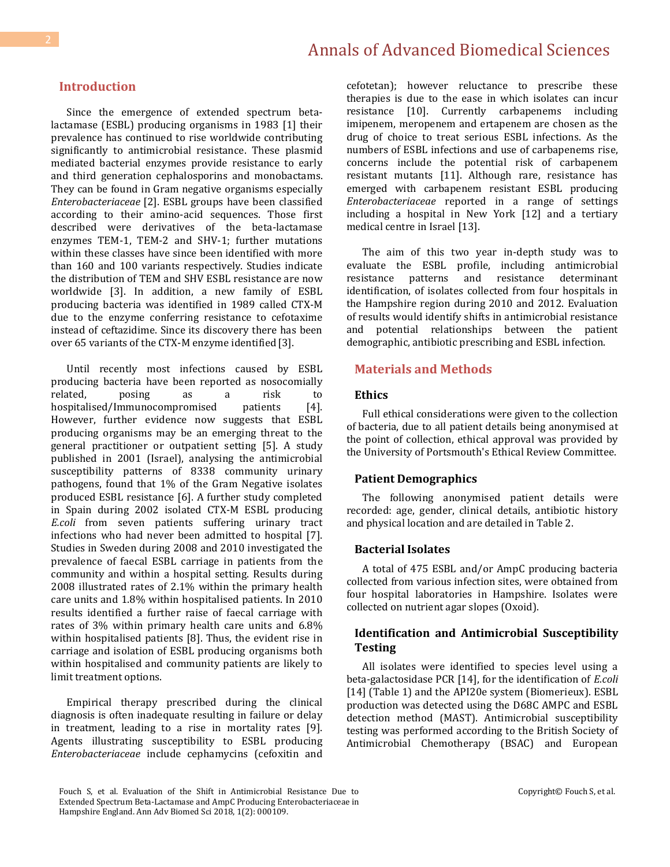#### **Introduction**

Since the emergence of extended spectrum betalactamase (ESBL) producing organisms in 1983 [1] their prevalence has continued to rise worldwide contributing significantly to antimicrobial resistance. These plasmid mediated bacterial enzymes provide resistance to early and third generation cephalosporins and monobactams. They can be found in Gram negative organisms especially *Enterobacteriaceae* [2]. ESBL groups have been classified according to their amino-acid sequences. Those first described were derivatives of the beta-lactamase enzymes TEM-1, TEM-2 and SHV-1; further mutations within these classes have since been identified with more than 160 and 100 variants respectively. Studies indicate the distribution of TEM and SHV ESBL resistance are now worldwide [3]. In addition, a new family of ESBL producing bacteria was identified in 1989 called CTX-M due to the enzyme conferring resistance to cefotaxime instead of ceftazidime. Since its discovery there has been over 65 variants of the CTX-M enzyme identified [3].

Until recently most infections caused by ESBL producing bacteria have been reported as nosocomially related, posing as a risk to hospitalised/Immunocompromised patients [4]. However, further evidence now suggests that ESBL producing organisms may be an emerging threat to the general practitioner or outpatient setting [5]. A study published in 2001 (Israel), analysing the antimicrobial susceptibility patterns of 8338 community urinary pathogens, found that 1% of the Gram Negative isolates produced ESBL resistance [6]. A further study completed in Spain during 2002 isolated CTX-M ESBL producing *E.coli* from seven patients suffering urinary tract infections who had never been admitted to hospital [7]. Studies in Sweden during 2008 and 2010 investigated the prevalence of faecal ESBL carriage in patients from the community and within a hospital setting. Results during 2008 illustrated rates of 2.1% within the primary health care units and 1.8% within hospitalised patients. In 2010 results identified a further raise of faecal carriage with rates of 3% within primary health care units and 6.8% within hospitalised patients [8]. Thus, the evident rise in carriage and isolation of ESBL producing organisms both within hospitalised and community patients are likely to limit treatment options.

Empirical therapy prescribed during the clinical diagnosis is often inadequate resulting in failure or delay in treatment, leading to a rise in mortality rates [9]. Agents illustrating susceptibility to ESBL producing *Enterobacteriaceae* include cephamycins (cefoxitin and cefotetan); however reluctance to prescribe these therapies is due to the ease in which isolates can incur resistance [10]. Currently carbapenems including imipenem, meropenem and ertapenem are chosen as the drug of choice to treat serious ESBL infections. As the numbers of ESBL infections and use of carbapenems rise, concerns include the potential risk of carbapenem resistant mutants [11]. Although rare, resistance has emerged with carbapenem resistant ESBL producing *Enterobacteriaceae* reported in a range of settings including a hospital in New York [12] and a tertiary medical centre in Israel [13].

The aim of this two year in-depth study was to evaluate the ESBL profile, including antimicrobial resistance patterns and resistance determinant identification, of isolates collected from four hospitals in the Hampshire region during 2010 and 2012. Evaluation of results would identify shifts in antimicrobial resistance and potential relationships between the patient demographic, antibiotic prescribing and ESBL infection.

#### **Materials and Methods**

#### **Ethics**

Full ethical considerations were given to the collection of bacteria, due to all patient details being anonymised at the point of collection, ethical approval was provided by the University of Portsmouth's Ethical Review Committee.

#### **Patient Demographics**

The following anonymised patient details were recorded: age, gender, clinical details, antibiotic history and physical location and are detailed in Table 2.

#### **Bacterial Isolates**

A total of 475 ESBL and/or AmpC producing bacteria collected from various infection sites, were obtained from four hospital laboratories in Hampshire. Isolates were collected on nutrient agar slopes (Oxoid).

#### **Identification and Antimicrobial Susceptibility Testing**

All isolates were identified to species level using a beta-galactosidase PCR [14], for the identification of *E.coli*  [14] (Table 1) and the API20e system (Biomerieux). ESBL production was detected using the D68C AMPC and ESBL detection method (MAST). Antimicrobial susceptibility testing was performed according to the British Society of Antimicrobial Chemotherapy (BSAC) and European

Fouch S, et al. Evaluation of the Shift in Antimicrobial Resistance Due to Extended Spectrum Beta-Lactamase and AmpC Producing Enterobacteriaceae in Hampshire England. Ann Adv Biomed Sci 2018, 1(2): 000109.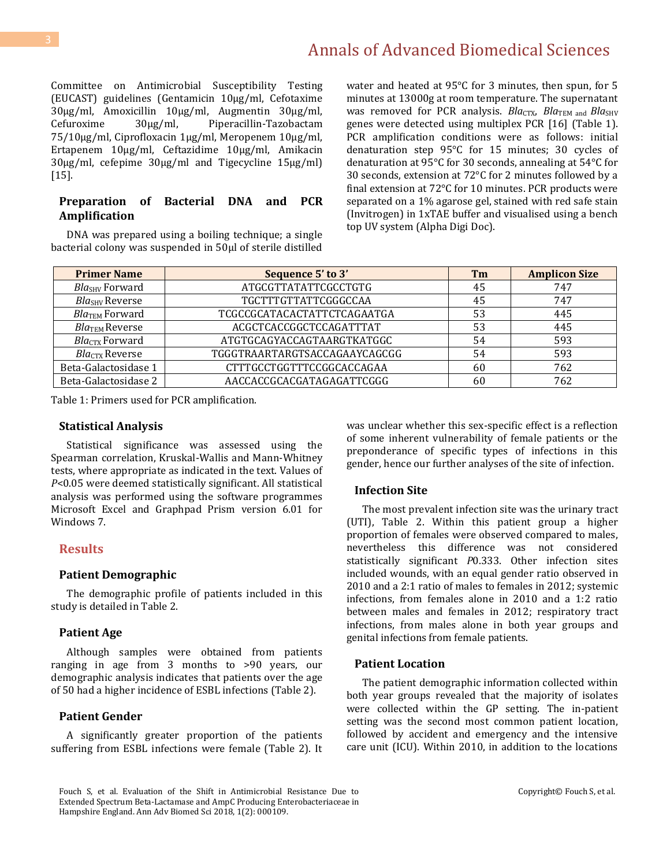Committee on Antimicrobial Susceptibility Testing (EUCAST) guidelines (Gentamicin 10µg/ml, Cefotaxime 30µg/ml, Amoxicillin 10µg/ml, Augmentin 30µg/ml, Cefuroxime 30µg/ml, Piperacillin-Tazobactam 75/10µg/ml, Ciprofloxacin 1µg/ml, Meropenem 10µg/ml, Ertapenem 10µg/ml, Ceftazidime 10µg/ml, Amikacin 30µg/ml, cefepime 30µg/ml and Tigecycline 15µg/ml)  $[15]$ .

#### **Preparation of Bacterial DNA and PCR Amplification**

DNA was prepared using a boiling technique; a single bacterial colony was suspended in 50µl of sterile distilled water and heated at 95°C for 3 minutes, then spun, for 5 minutes at 13000g at room temperature. The supernatant was removed for PCR analysis. *Bla<sub>CTX</sub>*, *Bla*<sub>TEM and *Bla*<sub>SHV</sub></sub> genes were detected using multiplex PCR [16] (Table 1). PCR amplification conditions were as follows: initial denaturation step 95°C for 15 minutes; 30 cycles of denaturation at 95°C for 30 seconds, annealing at 54°C for 30 seconds, extension at 72°C for 2 minutes followed by a final extension at 72°C for 10 minutes. PCR products were separated on a 1% agarose gel, stained with red safe stain (Invitrogen) in 1xTAE buffer and visualised using a bench top UV system (Alpha Digi Doc).

| <b>Primer Name</b>         | Sequence 5' to 3'             | Tm | <b>Amplicon Size</b> |
|----------------------------|-------------------------------|----|----------------------|
| Bla <sub>SHV</sub> Forward | ATGCGTTATATTCGCCTGTG          | 45 | 747                  |
| Bla <sub>SHV</sub> Reverse | TGCTTTGTTATTCGGGCCAA          | 45 | 747                  |
| BlaTEM Forward             | TCGCCGCATACACTATTCTCAGAATGA   | 53 | 445                  |
| BlaTEM Reverse             | ACGCTCACCGGCTCCAGATTTAT       | 53 | 445                  |
| Bla <sub>CTX</sub> Forward | ATGTGCAGYACCAGTAARGTKATGGC    | 54 | 593                  |
| $BlaCTX$ Reverse           | TGGGTRAARTARGTSACCAGAAYCAGCGG | 54 | 593                  |
| Beta-Galactosidase 1       | CTTTGCCTGGTTTCCGGCACCAGAA     | 60 | 762                  |
| Beta-Galactosidase 2       | AACCACCGCACGATAGAGATTCGGG     | 60 | 762                  |

Table 1: Primers used for PCR amplification.

#### **Statistical Analysis**

Statistical significance was assessed using the Spearman correlation, Kruskal-Wallis and Mann-Whitney tests, where appropriate as indicated in the text. Values of *P*<0.05 were deemed statistically significant. All statistical analysis was performed using the software programmes Microsoft Excel and Graphpad Prism version 6.01 for Windows 7.

#### **Results**

#### **Patient Demographic**

The demographic profile of patients included in this study is detailed in Table 2.

#### **Patient Age**

Although samples were obtained from patients ranging in age from 3 months to >90 years, our demographic analysis indicates that patients over the age of 50 had a higher incidence of ESBL infections (Table 2).

#### **Patient Gender**

A significantly greater proportion of the patients suffering from ESBL infections were female (Table 2). It was unclear whether this sex-specific effect is a reflection of some inherent vulnerability of female patients or the preponderance of specific types of infections in this gender, hence our further analyses of the site of infection.

#### **Infection Site**

The most prevalent infection site was the urinary tract (UTI), Table 2. Within this patient group a higher proportion of females were observed compared to males, nevertheless this difference was not considered statistically significant *P*0.333. Other infection sites included wounds, with an equal gender ratio observed in 2010 and a 2:1 ratio of males to females in 2012; systemic infections, from females alone in 2010 and a 1:2 ratio between males and females in 2012; respiratory tract infections, from males alone in both year groups and genital infections from female patients.

#### **Patient Location**

The patient demographic information collected within both year groups revealed that the majority of isolates were collected within the GP setting. The in-patient setting was the second most common patient location, followed by accident and emergency and the intensive care unit (ICU). Within 2010, in addition to the locations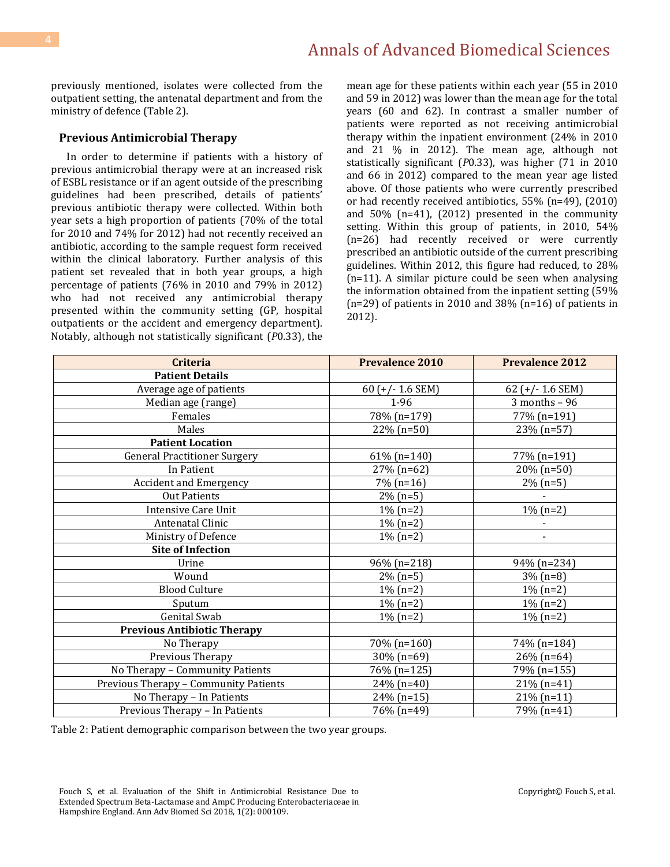previously mentioned, isolates were collected from the outpatient setting, the antenatal department and from the ministry of defence (Table 2).

#### **Previous Antimicrobial Therapy**

In order to determine if patients with a history of previous antimicrobial therapy were at an increased risk of ESBL resistance or if an agent outside of the prescribing guidelines had been prescribed, details of patients' previous antibiotic therapy were collected. Within both year sets a high proportion of patients (70% of the total for 2010 and 74% for 2012) had not recently received an antibiotic, according to the sample request form received within the clinical laboratory. Further analysis of this patient set revealed that in both year groups, a high percentage of patients (76% in 2010 and 79% in 2012) who had not received any antimicrobial therapy presented within the community setting (GP, hospital outpatients or the accident and emergency department). Notably, although not statistically significant (*P*0.33), the mean age for these patients within each year (55 in 2010 and 59 in 2012) was lower than the mean age for the total years (60 and 62). In contrast a smaller number of patients were reported as not receiving antimicrobial therapy within the inpatient environment (24% in 2010 and 21 % in 2012). The mean age, although not statistically significant (*P*0.33), was higher (71 in 2010 and 66 in 2012) compared to the mean year age listed above. Of those patients who were currently prescribed or had recently received antibiotics, 55% (n=49), (2010) and 50% (n=41), (2012) presented in the community setting. Within this group of patients, in 2010, 54% (n=26) had recently received or were currently prescribed an antibiotic outside of the current prescribing guidelines. Within 2012, this figure had reduced, to 28% (n=11). A similar picture could be seen when analysing the information obtained from the inpatient setting (59% (n=29) of patients in 2010 and 38% (n=16) of patients in 2012).

| <b>Criteria</b>                       | <b>Prevalence 2010</b> | <b>Prevalence 2012</b> |
|---------------------------------------|------------------------|------------------------|
| <b>Patient Details</b>                |                        |                        |
| Average age of patients               | 60 ( $+/- 1.6$ SEM)    | 62 (+/- 1.6 SEM)       |
| Median age (range)                    | $1-96$                 | $3$ months - 96        |
| Females                               | 78% (n=179)            | 77% (n=191)            |
| Males                                 | 22% (n=50)             | 23% (n=57)             |
| <b>Patient Location</b>               |                        |                        |
| <b>General Practitioner Surgery</b>   | $61\%$ (n=140)         | 77% (n=191)            |
| In Patient                            | 27% (n=62)             | $20\% (n=50)$          |
| <b>Accident and Emergency</b>         | $7\%$ (n=16)           | $2\%$ (n=5)            |
| <b>Out Patients</b>                   | $2\%$ (n=5)            |                        |
| <b>Intensive Care Unit</b>            | $1\% (n=2)$            | $1\% (n=2)$            |
| Antenatal Clinic                      | $1\% (n=2)$            |                        |
| Ministry of Defence                   | $1\% (n=2)$            |                        |
| <b>Site of Infection</b>              |                        |                        |
| Urine                                 | 96% (n=218)            | 94% (n=234)            |
| Wound                                 | $2\%$ (n=5)            | $3\%$ (n=8)            |
| <b>Blood Culture</b>                  | $1\% (n=2)$            | $1\% (n=2)$            |
| Sputum                                | $1\% (n=2)$            | $1\% (n=2)$            |
| Genital Swab                          | $1\%$ (n=2)            | $1\%$ (n=2)            |
| <b>Previous Antibiotic Therapy</b>    |                        |                        |
| No Therapy                            | 70% (n=160)            | 74% (n=184)            |
| Previous Therapy                      | 30% (n=69)             | $26\%$ (n=64)          |
| No Therapy - Community Patients       | 76% (n=125)            | 79% (n=155)            |
| Previous Therapy - Community Patients | $24\%$ (n=40)          | $21\% (n=41)$          |
| No Therapy - In Patients              | 24% (n=15)             | $21\% (n=11)$          |
| Previous Therapy - In Patients        | 76% (n=49)             | 79% (n=41)             |

Table 2: Patient demographic comparison between the two year groups.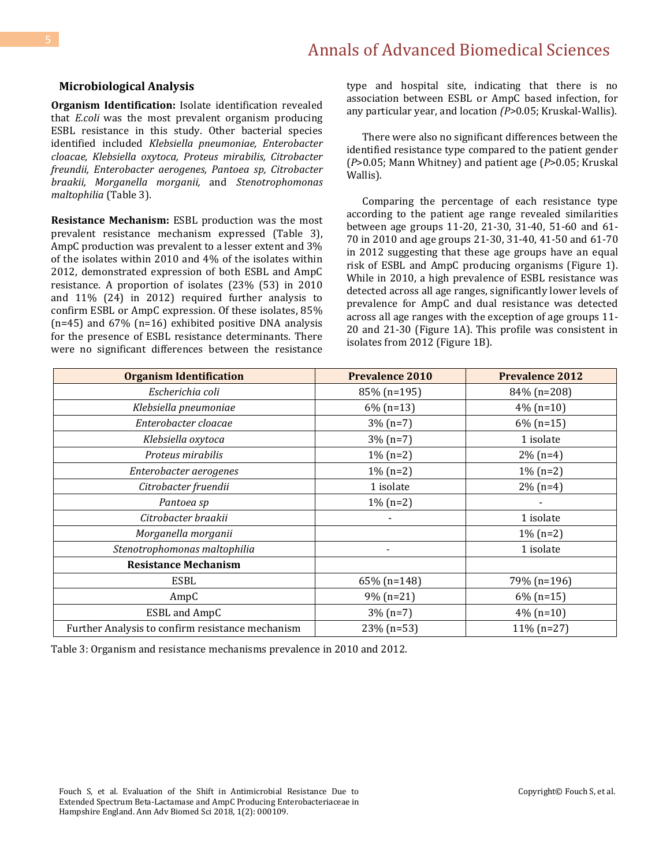#### **Microbiological Analysis**

**Organism Identification:** Isolate identification revealed that *E.coli* was the most prevalent organism producing ESBL resistance in this study. Other bacterial species identified included *Klebsiella pneumoniae, Enterobacter cloacae, Klebsiella oxytoca, Proteus mirabilis, Citrobacter freundii, Enterobacter aerogenes, Pantoea sp, Citrobacter braakii, Morganella morganii,* and *Stenotrophomonas maltophilia* (Table 3).

**Resistance Mechanism:** ESBL production was the most prevalent resistance mechanism expressed (Table 3), AmpC production was prevalent to a lesser extent and 3% of the isolates within 2010 and 4% of the isolates within 2012, demonstrated expression of both ESBL and AmpC resistance. A proportion of isolates (23% (53) in 2010 and 11% (24) in 2012) required further analysis to confirm ESBL or AmpC expression. Of these isolates, 85% (n=45) and 67% (n=16) exhibited positive DNA analysis for the presence of ESBL resistance determinants. There were no significant differences between the resistance type and hospital site, indicating that there is no association between ESBL or AmpC based infection, for any particular year, and location *(P>*0.05; Kruskal-Wallis).

There were also no significant differences between the identified resistance type compared to the patient gender (*P*>0.05; Mann Whitney) and patient age (*P*>0.05; Kruskal Wallis).

Comparing the percentage of each resistance type according to the patient age range revealed similarities between age groups 11-20, 21-30, 31-40, 51-60 and 61- 70 in 2010 and age groups 21-30, 31-40, 41-50 and 61-70 in 2012 suggesting that these age groups have an equal risk of ESBL and AmpC producing organisms (Figure 1). While in 2010, a high prevalence of ESBL resistance was detected across all age ranges, significantly lower levels of prevalence for AmpC and dual resistance was detected across all age ranges with the exception of age groups 11- 20 and 21-30 (Figure 1A). This profile was consistent in isolates from 2012 (Figure 1B).

| <b>Organism Identification</b>                   | <b>Prevalence 2010</b> | <b>Prevalence 2012</b> |
|--------------------------------------------------|------------------------|------------------------|
| Escherichia coli                                 | 85% (n=195)            | 84% (n=208)            |
| Klebsiella pneumoniae                            | $6\%$ (n=13)           | $4\%$ (n=10)           |
| Enterobacter cloacae                             | $3\% (n=7)$            | $6\%$ (n=15)           |
| Klebsiella oxytoca                               | $3\% (n=7)$            | 1 isolate              |
| Proteus mirabilis                                | $1\% (n=2)$            | $2\%$ (n=4)            |
| Enterobacter aerogenes                           | $1\% (n=2)$            | $1\%$ (n=2)            |
| Citrobacter fruendii                             | 1 isolate              | $2\%$ (n=4)            |
| Pantoea sp                                       | $1\% (n=2)$            |                        |
| Citrobacter braakii                              |                        | 1 isolate              |
| Morganella morganii                              |                        | $1\%$ (n=2)            |
| Stenotrophomonas maltophilia                     |                        | 1 isolate              |
| <b>Resistance Mechanism</b>                      |                        |                        |
| ESBL                                             | 65% (n=148)            | 79% (n=196)            |
| AmpC                                             | $9\%$ (n=21)           | $6\%$ (n=15)           |
| ESBL and AmpC                                    | $3\%$ (n=7)            | $4\%$ (n=10)           |
| Further Analysis to confirm resistance mechanism | $23\%$ (n=53)          | $11\% (n=27)$          |

Table 3: Organism and resistance mechanisms prevalence in 2010 and 2012.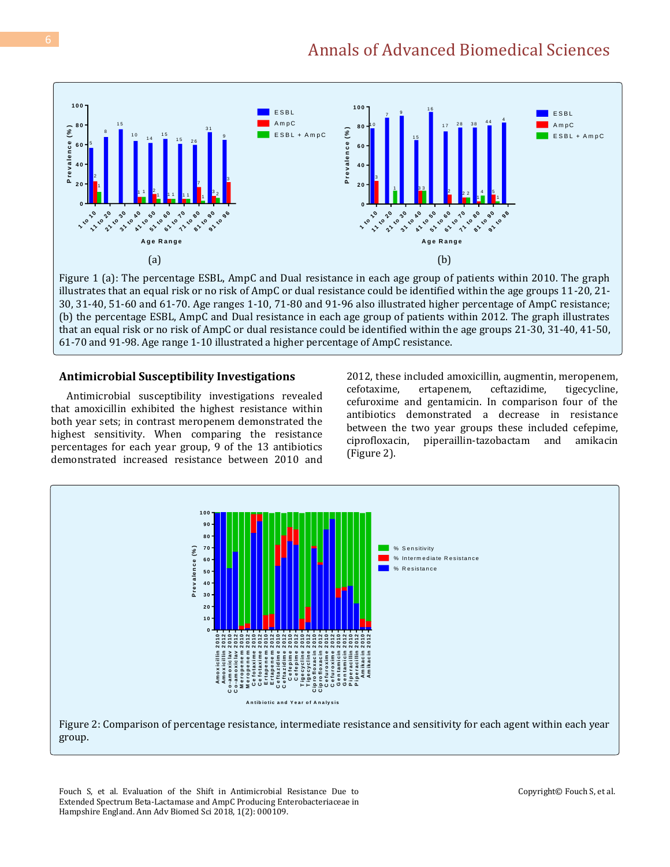

Figure 1 (a): The percentage ESBL, AmpC and Dual resistance in each age group of patients within 2010. The graph illustrates that an equal risk or no risk of AmpC or dual resistance could be identified within the age groups 11-20, 21- 30, 31-40, 51-60 and 61-70. Age ranges 1-10, 71-80 and 91-96 also illustrated higher percentage of AmpC resistance; (b) the percentage ESBL, AmpC and Dual resistance in each age group of patients within 2012. The graph illustrates that an equal risk or no risk of AmpC or dual resistance could be identified within the age groups 21-30, 31-40, 41-50, 61-70 and 91-98. Age range 1-10 illustrated a higher percentage of AmpC resistance.

#### **Antimicrobial Susceptibility Investigations**

Antimicrobial susceptibility investigations revealed that amoxicillin exhibited the highest resistance within both year sets; in contrast meropenem demonstrated the highest sensitivity. When comparing the resistance percentages for each year group, 9 of the 13 antibiotics demonstrated increased resistance between 2010 and 2012, these included amoxicillin, augmentin, meropenem, cefotaxime, ertapenem, ceftazidime, tigecycline, cefuroxime and gentamicin. In comparison four of the antibiotics demonstrated a decrease in resistance between the two year groups these included cefepime, ciprofloxacin, piperaillin-tazobactam and amikacin (Figure 2).



Fouch S, et al. Evaluation of the Shift in Antimicrobial Resistance Due to Extended Spectrum Beta-Lactamase and AmpC Producing Enterobacteriaceae in Hampshire England. Ann Adv Biomed Sci 2018, 1(2): 000109.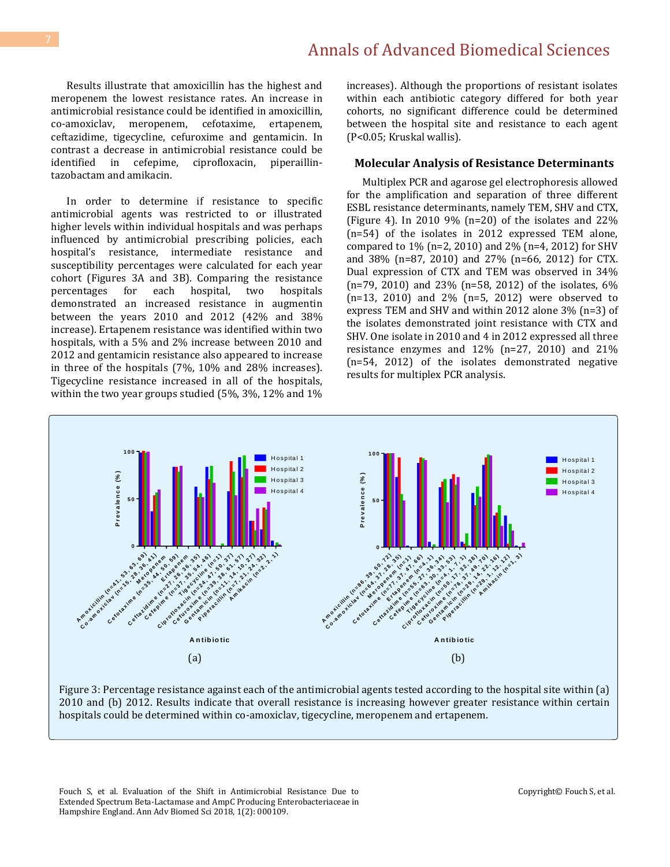Results illustrate that amoxicillin has the highest and meropenem the lowest resistance rates. An increase in antimicrobial resistance could be identified in amoxicillin, co-amoxiclav, meropenem, cefotaxime, ertapenem, ceftazidime, tigecycline, cefuroxime and gentamicin. In contrast a decrease in antimicrobial resistance could be identified in cefepime, ciprofloxacin, piperaillintazobactam and amikacin.

In order to determine if resistance to specific antimicrobial agents was restricted to or illustrated higher levels within individual hospitals and was perhaps influenced by antimicrobial prescribing policies, each hospital's resistance, intermediate resistance and susceptibility percentages were calculated for each year cohort (Figures 3A and 3B). Comparing the resistance percentages for each hospital, two hospitals demonstrated an increased resistance in augmentin between the years 2010 and 2012 (42% and 38% increase). Ertapenem resistance was identified within two hospitals, with a 5% and 2% increase between 2010 and 2012 and gentamicin resistance also appeared to increase in three of the hospitals (7%, 10% and 28% increases). Tigecycline resistance increased in all of the hospitals, within the two year groups studied (5%, 3%, 12% and 1% increases). Although the proportions of resistant isolates within each antibiotic category differed for both year cohorts, no significant difference could be determined between the hospital site and resistance to each agent (P<0.05; Kruskal wallis).

#### **Molecular Analysis of Resistance Determinants**

Multiplex PCR and agarose gel electrophoresis allowed for the amplification and separation of three different ESBL resistance determinants, namely TEM, SHV and CTX, (Figure 4). In 2010 9% (n=20) of the isolates and 22% (n=54) of the isolates in 2012 expressed TEM alone, compared to 1% (n=2, 2010) and 2% (n=4, 2012) for SHV and 38% (n=87, 2010) and 27% (n=66, 2012) for CTX. Dual expression of CTX and TEM was observed in 34% (n=79, 2010) and 23% (n=58, 2012) of the isolates, 6% (n=13, 2010) and 2% (n=5, 2012) were observed to express TEM and SHV and within 2012 alone 3% (n=3) of the isolates demonstrated joint resistance with CTX and SHV. One isolate in 2010 and 4 in 2012 expressed all three resistance enzymes and 12% (n=27, 2010) and 21% (n=54, 2012) of the isolates demonstrated negative results for multiplex PCR analysis.



Figure 3: Percentage resistance against each of the antimicrobial agents tested according to the hospital site within (a) 2010 and (b) 2012. Results indicate that overall resistance is increasing however greater resistance within certain hospitals could be determined within co-amoxiclav, tigecycline, meropenem and ertapenem.

Fouch S, et al. Evaluation of the Shift in Antimicrobial Resistance Due to Extended Spectrum Beta-Lactamase and AmpC Producing Enterobacteriaceae in Hampshire England. Ann Adv Biomed Sci 2018, 1(2): 000109.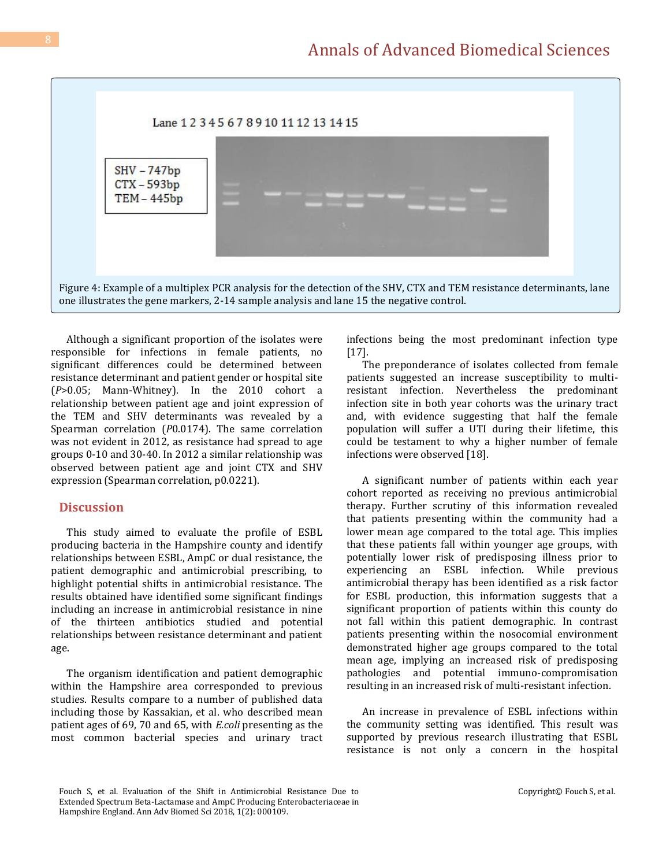

Although a significant proportion of the isolates were responsible for infections in female patients, no significant differences could be determined between resistance determinant and patient gender or hospital site (*P*>0.05; Mann-Whitney). In the 2010 cohort a relationship between patient age and joint expression of the TEM and SHV determinants was revealed by a Spearman correlation (*P*0.0174). The same correlation was not evident in 2012, as resistance had spread to age groups 0-10 and 30-40. In 2012 a similar relationship was observed between patient age and joint CTX and SHV expression (Spearman correlation, p0.0221).

#### **Discussion**

This study aimed to evaluate the profile of ESBL producing bacteria in the Hampshire county and identify relationships between ESBL, AmpC or dual resistance, the patient demographic and antimicrobial prescribing, to highlight potential shifts in antimicrobial resistance. The results obtained have identified some significant findings including an increase in antimicrobial resistance in nine of the thirteen antibiotics studied and potential relationships between resistance determinant and patient age.

The organism identification and patient demographic within the Hampshire area corresponded to previous studies. Results compare to a number of published data including those by Kassakian, et al. who described mean patient ages of 69, 70 and 65, with *E.coli* presenting as the most common bacterial species and urinary tract infections being the most predominant infection type [17].

The preponderance of isolates collected from female patients suggested an increase susceptibility to multiresistant infection. Nevertheless the predominant infection site in both year cohorts was the urinary tract and, with evidence suggesting that half the female population will suffer a UTI during their lifetime, this could be testament to why a higher number of female infections were observed [18].

A significant number of patients within each year cohort reported as receiving no previous antimicrobial therapy. Further scrutiny of this information revealed that patients presenting within the community had a lower mean age compared to the total age. This implies that these patients fall within younger age groups, with potentially lower risk of predisposing illness prior to experiencing an ESBL infection. While previous antimicrobial therapy has been identified as a risk factor for ESBL production, this information suggests that a significant proportion of patients within this county do not fall within this patient demographic. In contrast patients presenting within the nosocomial environment demonstrated higher age groups compared to the total mean age, implying an increased risk of predisposing pathologies and potential immuno-compromisation resulting in an increased risk of multi-resistant infection.

An increase in prevalence of ESBL infections within the community setting was identified. This result was supported by previous research illustrating that ESBL resistance is not only a concern in the hospital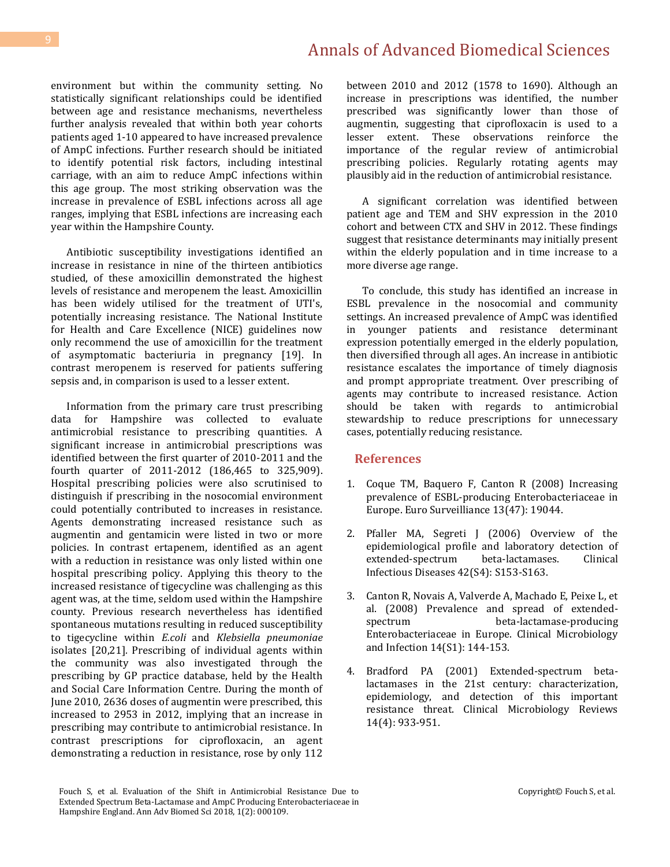environment but within the community setting. No statistically significant relationships could be identified between age and resistance mechanisms, nevertheless further analysis revealed that within both year cohorts patients aged 1-10 appeared to have increased prevalence of AmpC infections. Further research should be initiated to identify potential risk factors, including intestinal carriage, with an aim to reduce AmpC infections within this age group. The most striking observation was the increase in prevalence of ESBL infections across all age ranges, implying that ESBL infections are increasing each year within the Hampshire County.

Antibiotic susceptibility investigations identified an increase in resistance in nine of the thirteen antibiotics studied, of these amoxicillin demonstrated the highest levels of resistance and meropenem the least. Amoxicillin has been widely utilised for the treatment of UTI's, potentially increasing resistance. The National Institute for Health and Care Excellence (NICE) guidelines now only recommend the use of amoxicillin for the treatment of asymptomatic bacteriuria in pregnancy [19]. In contrast meropenem is reserved for patients suffering sepsis and, in comparison is used to a lesser extent.

Information from the primary care trust prescribing data for Hampshire was collected to evaluate antimicrobial resistance to prescribing quantities. A significant increase in antimicrobial prescriptions was identified between the first quarter of 2010-2011 and the fourth quarter of 2011-2012 (186,465 to 325,909). Hospital prescribing policies were also scrutinised to distinguish if prescribing in the nosocomial environment could potentially contributed to increases in resistance. Agents demonstrating increased resistance such as augmentin and gentamicin were listed in two or more policies. In contrast ertapenem, identified as an agent with a reduction in resistance was only listed within one hospital prescribing policy. Applying this theory to the increased resistance of tigecycline was challenging as this agent was, at the time, seldom used within the Hampshire county. Previous research nevertheless has identified spontaneous mutations resulting in reduced susceptibility to tigecycline within *E.coli* and *Klebsiella pneumoniae*  isolates [20,21]*.* Prescribing of individual agents within the community was also investigated through the prescribing by GP practice database, held by the Health and Social Care Information Centre. During the month of June 2010, 2636 doses of augmentin were prescribed, this increased to 2953 in 2012, implying that an increase in prescribing may contribute to antimicrobial resistance. In contrast prescriptions for ciprofloxacin, an agent demonstrating a reduction in resistance, rose by only 112

between 2010 and 2012 (1578 to 1690). Although an increase in prescriptions was identified, the number prescribed was significantly lower than those of augmentin, suggesting that ciprofloxacin is used to a lesser extent. These observations reinforce the importance of the regular review of antimicrobial prescribing policies. Regularly rotating agents may plausibly aid in the reduction of antimicrobial resistance.

A significant correlation was identified between patient age and TEM and SHV expression in the 2010 cohort and between CTX and SHV in 2012. These findings suggest that resistance determinants may initially present within the elderly population and in time increase to a more diverse age range.

To conclude, this study has identified an increase in ESBL prevalence in the nosocomial and community settings. An increased prevalence of AmpC was identified in younger patients and resistance determinant expression potentially emerged in the elderly population, then diversified through all ages. An increase in antibiotic resistance escalates the importance of timely diagnosis and prompt appropriate treatment. Over prescribing of agents may contribute to increased resistance. Action should be taken with regards to antimicrobial stewardship to reduce prescriptions for unnecessary cases, potentially reducing resistance.

#### **References**

- 1. [Coque TM, Baquero F, Canton R \(2008\) Increasing](https://www.ncbi.nlm.nih.gov/pubmed/19021958)  [prevalence of ESBL-producing Enterobacteriaceae in](https://www.ncbi.nlm.nih.gov/pubmed/19021958)  [Europe. Euro Surveilliance 13\(47\): 19044.](https://www.ncbi.nlm.nih.gov/pubmed/19021958)
- 2. [Pfaller MA, Segreti J \(2006\) Overview of the](https://www.ncbi.nlm.nih.gov/pubmed/16544266)  [epidemiological profile and laboratory detection of](https://www.ncbi.nlm.nih.gov/pubmed/16544266)  [extended-spectrum beta-lactamases. Clinical](https://www.ncbi.nlm.nih.gov/pubmed/16544266)  [Infectious Diseases 42\(S4\): S153-S163.](https://www.ncbi.nlm.nih.gov/pubmed/16544266)
- 3. [Canton R, Novais A, Valverde A, Machado E, Peixe L, et](https://www.ncbi.nlm.nih.gov/pubmed/18154538)  [al. \(2008\) Prevalence and spread of extended](https://www.ncbi.nlm.nih.gov/pubmed/18154538)[spectrum beta-lactamase-producing](https://www.ncbi.nlm.nih.gov/pubmed/18154538)  [Enterobacteriaceae in Europe. Clinical Microbiology](https://www.ncbi.nlm.nih.gov/pubmed/18154538)  [and Infection 14\(S1\): 144-153.](https://www.ncbi.nlm.nih.gov/pubmed/18154538)
- 4. [Bradford PA \(2001\) Extended-spectrum beta](https://www.ncbi.nlm.nih.gov/pmc/articles/PMC89009/)[lactamases in the 21st century: characterization,](https://www.ncbi.nlm.nih.gov/pmc/articles/PMC89009/)  [epidemiology, and detection of this important](https://www.ncbi.nlm.nih.gov/pmc/articles/PMC89009/)  [resistance threat. Clinical Microbiology Reviews](https://www.ncbi.nlm.nih.gov/pmc/articles/PMC89009/)  [14\(4\): 933-951.](https://www.ncbi.nlm.nih.gov/pmc/articles/PMC89009/)

Fouch S, et al. Evaluation of the Shift in Antimicrobial Resistance Due to Extended Spectrum Beta-Lactamase and AmpC Producing Enterobacteriaceae in Hampshire England. Ann Adv Biomed Sci 2018, 1(2): 000109.